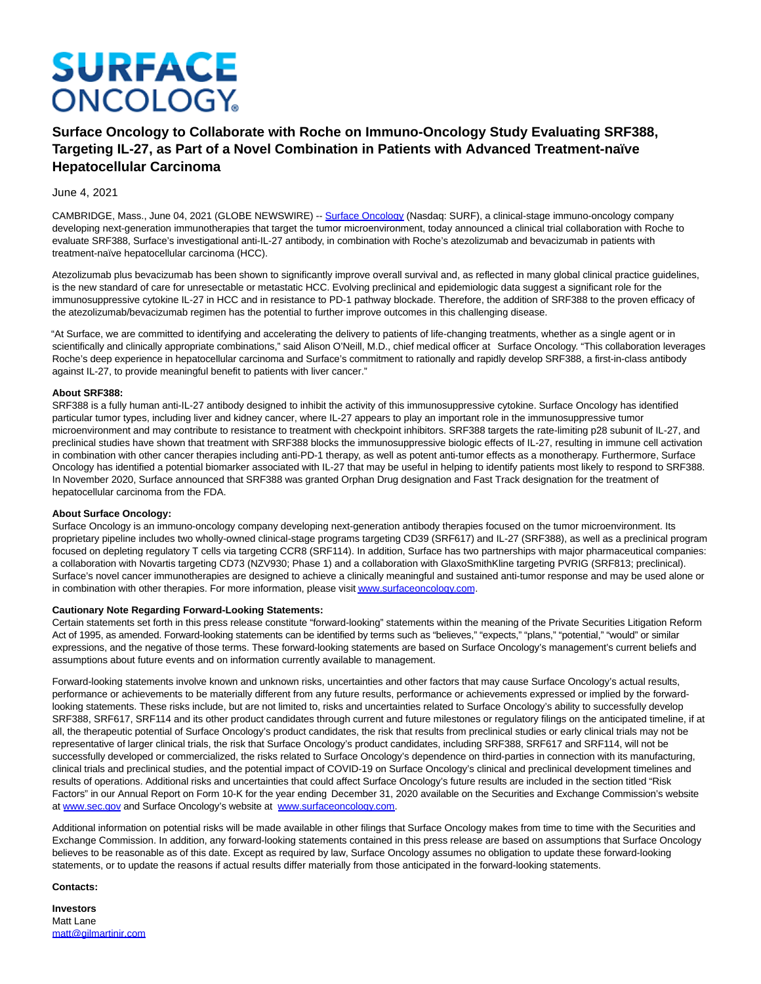# **SURFACE ONCOLOGY**

## **Surface Oncology to Collaborate with Roche on Immuno-Oncology Study Evaluating SRF388, Targeting IL-27, as Part of a Novel Combination in Patients with Advanced Treatment-naïve Hepatocellular Carcinoma**

### June 4, 2021

CAMBRIDGE, Mass., June 04, 2021 (GLOBE NEWSWIRE) -- [Surface Oncology \(](https://www.globenewswire.com/Tracker?data=clGPKY9j14J7dBGpUBOPWRHpRbo-oHCSbgB9JyRP4fv4uqoUOaVCDlod7ADC01H4MSfwc4-FfqtLs3xGwgSU4X_NL3ugdCb0qWO4OaOLucw=)Nasdaq: SURF), a clinical-stage immuno-oncology company developing next-generation immunotherapies that target the tumor microenvironment, today announced a clinical trial collaboration with Roche to evaluate SRF388, Surface's investigational anti-IL-27 antibody, in combination with Roche's atezolizumab and bevacizumab in patients with treatment-naïve hepatocellular carcinoma (HCC).

Atezolizumab plus bevacizumab has been shown to significantly improve overall survival and, as reflected in many global clinical practice guidelines, is the new standard of care for unresectable or metastatic HCC. Evolving preclinical and epidemiologic data suggest a significant role for the immunosuppressive cytokine IL-27 in HCC and in resistance to PD-1 pathway blockade. Therefore, the addition of SRF388 to the proven efficacy of the atezolizumab/bevacizumab regimen has the potential to further improve outcomes in this challenging disease.

"At Surface, we are committed to identifying and accelerating the delivery to patients of life-changing treatments, whether as a single agent or in scientifically and clinically appropriate combinations," said Alison O'Neill, M.D., chief medical officer at Surface Oncology. "This collaboration leverages Roche's deep experience in hepatocellular carcinoma and Surface's commitment to rationally and rapidly develop SRF388, a first-in-class antibody against IL-27, to provide meaningful benefit to patients with liver cancer."

#### **About SRF388:**

SRF388 is a fully human anti-IL-27 antibody designed to inhibit the activity of this immunosuppressive cytokine. Surface Oncology has identified particular tumor types, including liver and kidney cancer, where IL-27 appears to play an important role in the immunosuppressive tumor microenvironment and may contribute to resistance to treatment with checkpoint inhibitors. SRF388 targets the rate-limiting p28 subunit of IL-27, and preclinical studies have shown that treatment with SRF388 blocks the immunosuppressive biologic effects of IL-27, resulting in immune cell activation in combination with other cancer therapies including anti-PD-1 therapy, as well as potent anti-tumor effects as a monotherapy. Furthermore, Surface Oncology has identified a potential biomarker associated with IL-27 that may be useful in helping to identify patients most likely to respond to SRF388. In November 2020, Surface announced that SRF388 was granted Orphan Drug designation and Fast Track designation for the treatment of hepatocellular carcinoma from the FDA.

#### **About Surface Oncology:**

Surface Oncology is an immuno-oncology company developing next-generation antibody therapies focused on the tumor microenvironment. Its proprietary pipeline includes two wholly-owned clinical-stage programs targeting CD39 (SRF617) and IL-27 (SRF388), as well as a preclinical program focused on depleting regulatory T cells via targeting CCR8 (SRF114). In addition, Surface has two partnerships with major pharmaceutical companies: a collaboration with Novartis targeting CD73 (NZV930; Phase 1) and a collaboration with GlaxoSmithKline targeting PVRIG (SRF813; preclinical). Surface's novel cancer immunotherapies are designed to achieve a clinically meaningful and sustained anti-tumor response and may be used alone or in combination with other therapies. For more information, please visi[t www.surfaceoncology.com.](https://www.globenewswire.com/Tracker?data=8YOad1Q5VgOE-9KWB7GSLHxo6qpEzvUIvPdmYltI-lsM_xX8RhYXIGEVkyt76uDtyI8BBVAVG-CgEAhUq-9m9P7_gK1lKtbwraVi111SjLc=)

#### **Cautionary Note Regarding Forward-Looking Statements:**

Certain statements set forth in this press release constitute "forward-looking" statements within the meaning of the Private Securities Litigation Reform Act of 1995, as amended. Forward-looking statements can be identified by terms such as "believes," "expects," "plans," "potential," "would" or similar expressions, and the negative of those terms. These forward-looking statements are based on Surface Oncology's management's current beliefs and assumptions about future events and on information currently available to management.

Forward-looking statements involve known and unknown risks, uncertainties and other factors that may cause Surface Oncology's actual results, performance or achievements to be materially different from any future results, performance or achievements expressed or implied by the forwardlooking statements. These risks include, but are not limited to, risks and uncertainties related to Surface Oncology's ability to successfully develop SRF388, SRF617, SRF114 and its other product candidates through current and future milestones or regulatory filings on the anticipated timeline, if at all, the therapeutic potential of Surface Oncology's product candidates, the risk that results from preclinical studies or early clinical trials may not be representative of larger clinical trials, the risk that Surface Oncology's product candidates, including SRF388, SRF617 and SRF114, will not be successfully developed or commercialized, the risks related to Surface Oncology's dependence on third-parties in connection with its manufacturing, clinical trials and preclinical studies, and the potential impact of COVID-19 on Surface Oncology's clinical and preclinical development timelines and results of operations. Additional risks and uncertainties that could affect Surface Oncology's future results are included in the section titled "Risk Factors" in our Annual Report on Form 10-K for the year ending December 31, 2020 available on the Securities and Exchange Commission's website at [www.sec.gov a](https://www.globenewswire.com/Tracker?data=TeAIY3f4mQTclqAmi38j2lpWr7cwhVPo5TEH2XvWtGnWWhV_dm41Cz8pM-UuIneFTdandYSkcgn8uOVYSJkn7w==)nd Surface Oncology's website at [www.surfaceoncology.com.](https://www.globenewswire.com/Tracker?data=8YOad1Q5VgOE-9KWB7GSLHxo6qpEzvUIvPdmYltI-lunhSMFBaNaORV9jfcqaigd-yyKD2Aw7HiiBVZfBp_4Q7_-eMbF4RjRW5Oh61d7HSY=)

Additional information on potential risks will be made available in other filings that Surface Oncology makes from time to time with the Securities and Exchange Commission. In addition, any forward-looking statements contained in this press release are based on assumptions that Surface Oncology believes to be reasonable as of this date. Except as required by law, Surface Oncology assumes no obligation to update these forward-looking statements, or to update the reasons if actual results differ materially from those anticipated in the forward-looking statements.

#### **Contacts:**

**Investors** Matt Lane [matt@gilmartinir.com](https://www.globenewswire.com/Tracker?data=KcrTZGM_bsunVcG9MHm05hzR0KraVhefGWMvQeYhP4uo5f_9FNIRqmdeO6ixJNkeW1zu2XSEOdixsetlEQjrUJLWuxu1YDsILoK6Twj8I5g=)